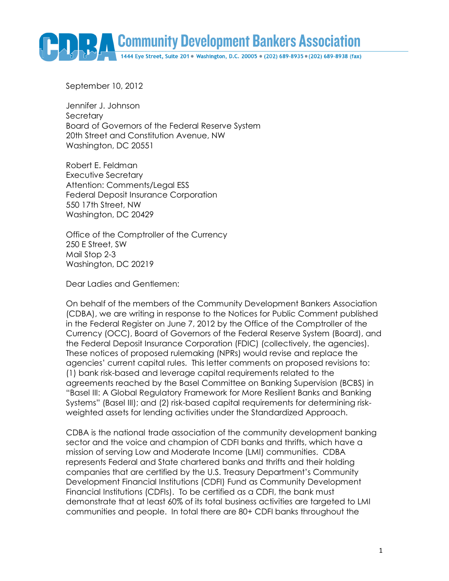Community Development Bankers Association

September 10, 2012

Jennifer J. Johnson Secretary Board of Governors of the Federal Reserve System 20th Street and Constitution Avenue, NW Washington, DC 20551

Robert E. Feldman Executive Secretary Attention: Comments/Legal ESS Federal Deposit Insurance Corporation 550 17th Street, NW Washington, DC 20429

Office of the Comptroller of the Currency 250 E Street, SW Mail Stop 2-3 Washington, DC 20219

Dear Ladies and Gentlemen:

On behalf of the members of the Community Development Bankers Association (CDBA), we are writing in response to the Notices for Public Comment published in the Federal Register on June 7, 2012 by the Office of the Comptroller of the Currency (OCC), Board of Governors of the Federal Reserve System (Board), and the Federal Deposit Insurance Corporation (FDIC) (collectively, the agencies). These notices of proposed rulemaking (NPRs) would revise and replace the agencies' current capital rules. This letter comments on proposed revisions to: (1) bank risk-based and leverage capital requirements related to the agreements reached by the Basel Committee on Banking Supervision (BCBS) in "Basel III: A Global Regulatory Framework for More Resilient Banks and Banking Systems" (Basel III); and (2) risk-based capital requirements for determining riskweighted assets for lending activities under the Standardized Approach.

CDBA is the national trade association of the community development banking sector and the voice and champion of CDFI banks and thrifts, which have a mission of serving Low and Moderate Income (LMI) communities. CDBA represents Federal and State chartered banks and thrifts and their holding companies that are certified by the U.S. Treasury Department's Community Development Financial Institutions (CDFI) Fund as Community Development Financial Institutions (CDFIs). To be certified as a CDFI, the bank must demonstrate that at least 60% of its total business activities are targeted to LMI communities and people. In total there are 80+ CDFI banks throughout the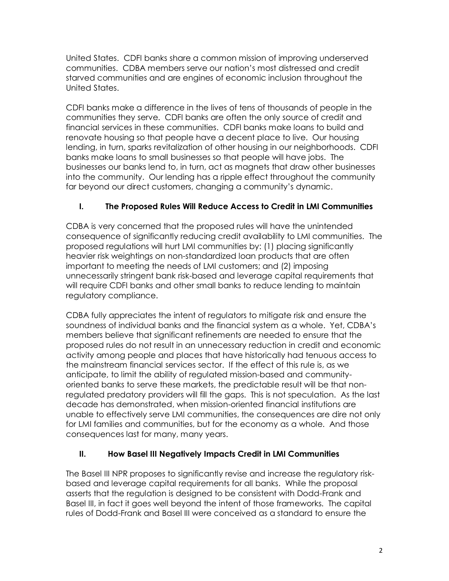United States. CDFI banks share a common mission of improving underserved communities. CDBA members serve our nation's most distressed and credit starved communities and are engines of economic inclusion throughout the United States.

CDFI banks make a difference in the lives of tens of thousands of people in the communities they serve. CDFI banks are often the only source of credit and financial services in these communities. CDFI banks make loans to build and renovate housing so that people have a decent place to live. Our housing lending, in turn, sparks revitalization of other housing in our neighborhoods. CDFI banks make loans to small businesses so that people will have jobs. The businesses our banks lend to, in turn, act as magnets that draw other businesses into the community. Our lending has a ripple effect throughout the community far beyond our direct customers, changing a community's dynamic.

# **I. The Proposed Rules Will Reduce Access to Credit in LMI Communities**

CDBA is very concerned that the proposed rules will have the unintended consequence of significantly reducing credit availability to LMI communities. The proposed regulations will hurt LMI communities by: (1) placing significantly heavier risk weightings on non-standardized loan products that are often important to meeting the needs of LMI customers; and (2) imposing unnecessarily stringent bank risk-based and leverage capital requirements that will require CDFI banks and other small banks to reduce lending to maintain regulatory compliance.

CDBA fully appreciates the intent of regulators to mitigate risk and ensure the soundness of individual banks and the financial system as a whole. Yet, CDBA's members believe that significant refinements are needed to ensure that the proposed rules do not result in an unnecessary reduction in credit and economic activity among people and places that have historically had tenuous access to the mainstream financial services sector. If the effect of this rule is, as we anticipate, to limit the ability of regulated mission-based and communityoriented banks to serve these markets, the predictable result will be that nonregulated predatory providers will fill the gaps. This is not speculation. As the last decade has demonstrated, when mission-oriented financial institutions are unable to effectively serve LMI communities, the consequences are dire not only for LMI families and communities, but for the economy as a whole. And those consequences last for many, many years.

# **II. How Basel III Negatively Impacts Credit in LMI Communities**

The Basel III NPR proposes to significantly revise and increase the regulatory riskbased and leverage capital requirements for all banks. While the proposal asserts that the regulation is designed to be consistent with Dodd-Frank and Basel III, in fact it goes well beyond the intent of those frameworks. The capital rules of Dodd-Frank and Basel III were conceived as a standard to ensure the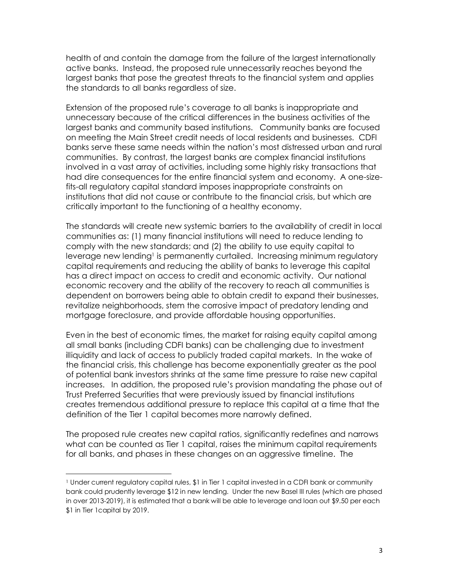health of and contain the damage from the failure of the largest internationally active banks. Instead, the proposed rule unnecessarily reaches beyond the largest banks that pose the greatest threats to the financial system and applies the standards to all banks regardless of size.

Extension of the proposed rule's coverage to all banks is inappropriate and unnecessary because of the critical differences in the business activities of the largest banks and community based institutions. Community banks are focused on meeting the Main Street credit needs of local residents and businesses. CDFI banks serve these same needs within the nation's most distressed urban and rural communities. By contrast, the largest banks are complex financial institutions involved in a vast array of activities, including some highly risky transactions that had dire consequences for the entire financial system and economy. A one-sizefits-all regulatory capital standard imposes inappropriate constraints on institutions that did not cause or contribute to the financial crisis, but which are critically important to the functioning of a healthy economy.

The standards will create new systemic barriers to the availability of credit in local communities as: (1) many financial institutions will need to reduce lending to comply with the new standards; and (2) the ability to use equity capital to leverage new lending<sup>1</sup> is permanently curtailed. Increasing minimum regulatory capital requirements and reducing the ability of banks to leverage this capital has a direct impact on access to credit and economic activity. Our national economic recovery and the ability of the recovery to reach all communities is dependent on borrowers being able to obtain credit to expand their businesses, revitalize neighborhoods, stem the corrosive impact of predatory lending and mortgage foreclosure, and provide affordable housing opportunities.

Even in the best of economic times, the market for raising equity capital among all small banks (including CDFI banks) can be challenging due to investment illiquidity and lack of access to publicly traded capital markets. In the wake of the financial crisis, this challenge has become exponentially greater as the pool of potential bank investors shrinks at the same time pressure to raise new capital increases. In addition, the proposed rule's provision mandating the phase out of Trust Preferred Securities that were previously issued by financial institutions creates tremendous additional pressure to replace this capital at a time that the definition of the Tier 1 capital becomes more narrowly defined.

The proposed rule creates new capital ratios, significantly redefines and narrows what can be counted as Tier 1 capital, raises the minimum capital requirements for all banks, and phases in these changes on an aggressive timeline. The

 $\overline{a}$ 

<sup>&</sup>lt;sup>1</sup> Under current regulatory capital rules, \$1 in Tier 1 capital invested in a CDFI bank or community bank could prudently leverage \$12 in new lending. Under the new Basel III rules (which are phased in over 2013-2019), it is estimated that a bank will be able to leverage and loan out \$9.50 per each \$1 in Tier 1capital by 2019.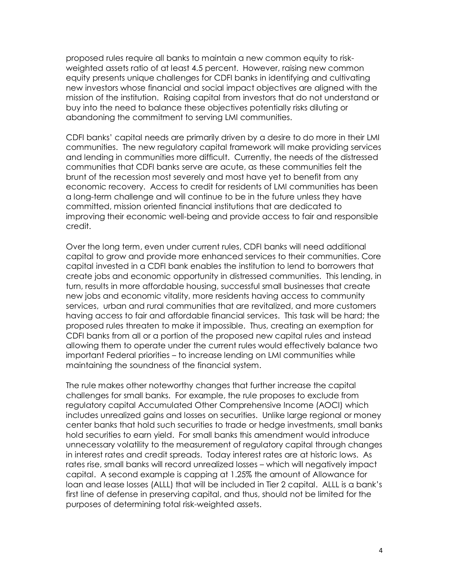proposed rules require all banks to maintain a new common equity to riskweighted assets ratio of at least 4.5 percent. However, raising new common equity presents unique challenges for CDFI banks in identifying and cultivating new investors whose financial and social impact objectives are aligned with the mission of the institution. Raising capital from investors that do not understand or buy into the need to balance these objectives potentially risks diluting or abandoning the commitment to serving LMI communities.

CDFI banks' capital needs are primarily driven by a desire to do more in their LMI communities. The new regulatory capital framework will make providing services and lending in communities more difficult. Currently, the needs of the distressed communities that CDFI banks serve are acute, as these communities felt the brunt of the recession most severely and most have yet to benefit from any economic recovery. Access to credit for residents of LMI communities has been a long-term challenge and will continue to be in the future unless they have committed, mission oriented financial institutions that are dedicated to improving their economic well-being and provide access to fair and responsible credit.

Over the long term, even under current rules, CDFI banks will need additional capital to grow and provide more enhanced services to their communities. Core capital invested in a CDFI bank enables the institution to lend to borrowers that create jobs and economic opportunity in distressed communities. This lending, in turn, results in more affordable housing, successful small businesses that create new jobs and economic vitality, more residents having access to community services, urban and rural communities that are revitalized, and more customers having access to fair and affordable financial services. This task will be hard; the proposed rules threaten to make it impossible. Thus, creating an exemption for CDFI banks from all or a portion of the proposed new capital rules and instead allowing them to operate under the current rules would effectively balance two important Federal priorities – to increase lending on LMI communities while maintaining the soundness of the financial system.

The rule makes other noteworthy changes that further increase the capital challenges for small banks. For example, the rule proposes to exclude from regulatory capital Accumulated Other Comprehensive Income (AOCI) which includes unrealized gains and losses on securities. Unlike large regional or money center banks that hold such securities to trade or hedge investments, small banks hold securities to earn yield. For small banks this amendment would introduce unnecessary volatility to the measurement of regulatory capital through changes in interest rates and credit spreads. Today interest rates are at historic lows. As rates rise, small banks will record unrealized losses – which will negatively impact capital. A second example is capping at 1.25% the amount of Allowance for loan and lease losses (ALLL) that will be included in Tier 2 capital. ALLL is a bank's first line of defense in preserving capital, and thus, should not be limited for the purposes of determining total risk-weighted assets.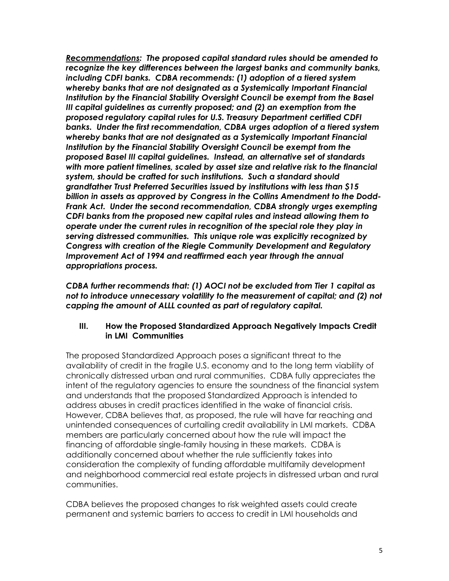*Recommendations: The proposed capital standard rules should be amended to recognize the key differences between the largest banks and community banks, including CDFI banks. CDBA recommends: (1) adoption of a tiered system whereby banks that are not designated as a Systemically Important Financial Institution by the Financial Stability Oversight Council be exempt from the Basel III capital guidelines as currently proposed; and (2) an exemption from the proposed regulatory capital rules for U.S. Treasury Department certified CDFI banks. Under the first recommendation, CDBA urges adoption of a tiered system whereby banks that are not designated as a Systemically Important Financial Institution by the Financial Stability Oversight Council be exempt from the proposed Basel III capital guidelines. Instead, an alternative set of standards with more patient timelines, scaled by asset size and relative risk to the financial system, should be crafted for such institutions. Such a standard should grandfather Trust Preferred Securities issued by institutions with less than \$15 billion in assets as approved by Congress in the Collins Amendment to the Dodd-Frank Act. Under the second recommendation, CDBA strongly urges exempting CDFI banks from the proposed new capital rules and instead allowing them to operate under the current rules in recognition of the special role they play in serving distressed communities. This unique role was explicitly recognized by Congress with creation of the Riegle Community Development and Regulatory Improvement Act of 1994 and reaffirmed each year through the annual appropriations process.* 

*CDBA further recommends that: (1) AOCI not be excluded from Tier 1 capital as not to introduce unnecessary volatility to the measurement of capital; and (2) not capping the amount of ALLL counted as part of regulatory capital.* 

#### **III. How the Proposed Standardized Approach Negatively Impacts Credit in LMI Communities**

The proposed Standardized Approach poses a significant threat to the availability of credit in the fragile U.S. economy and to the long term viability of chronically distressed urban and rural communities. CDBA fully appreciates the intent of the regulatory agencies to ensure the soundness of the financial system and understands that the proposed Standardized Approach is intended to address abuses in credit practices identified in the wake of financial crisis. However, CDBA believes that, as proposed, the rule will have far reaching and unintended consequences of curtailing credit availability in LMI markets. CDBA members are particularly concerned about how the rule will impact the financing of affordable single-family housing in these markets. CDBA is additionally concerned about whether the rule sufficiently takes into consideration the complexity of funding affordable multifamily development and neighborhood commercial real estate projects in distressed urban and rural communities.

CDBA believes the proposed changes to risk weighted assets could create permanent and systemic barriers to access to credit in LMI households and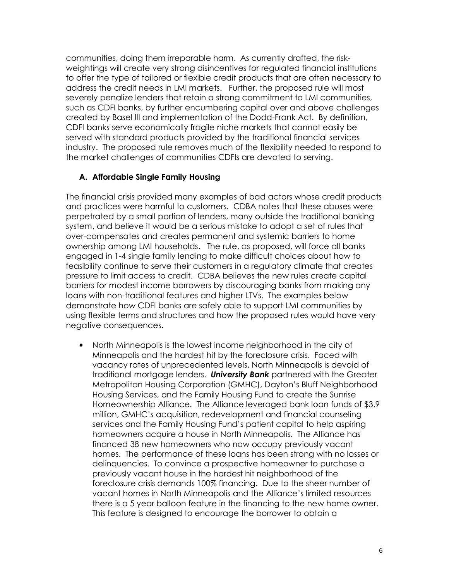communities, doing them irreparable harm. As currently drafted, the riskweightings will create very strong disincentives for regulated financial institutions to offer the type of tailored or flexible credit products that are often necessary to address the credit needs in LMI markets. Further, the proposed rule will most severely penalize lenders that retain a strong commitment to LMI communities, such as CDFI banks, by further encumbering capital over and above challenges created by Basel III and implementation of the Dodd-Frank Act. By definition, CDFI banks serve economically fragile niche markets that cannot easily be served with standard products provided by the traditional financial services industry. The proposed rule removes much of the flexibility needed to respond to the market challenges of communities CDFIs are devoted to serving.

### **A. Affordable Single Family Housing**

The financial crisis provided many examples of bad actors whose credit products and practices were harmful to customers. CDBA notes that these abuses were perpetrated by a small portion of lenders, many outside the traditional banking system, and believe it would be a serious mistake to adopt a set of rules that over-compensates and creates permanent and systemic barriers to home ownership among LMI households. The rule, as proposed, will force all banks engaged in 1-4 single family lending to make difficult choices about how to feasibility continue to serve their customers in a regulatory climate that creates pressure to limit access to credit. CDBA believes the new rules create capital barriers for modest income borrowers by discouraging banks from making any loans with non-traditional features and higher LTVs. The examples below demonstrate how CDFI banks are safely able to support LMI communities by using flexible terms and structures and how the proposed rules would have very negative consequences.

• North Minneapolis is the lowest income neighborhood in the city of Minneapolis and the hardest hit by the foreclosure crisis. Faced with vacancy rates of unprecedented levels, North Minneapolis is devoid of traditional mortgage lenders. *University Bank* partnered with the Greater Metropolitan Housing Corporation (GMHC), Dayton's Bluff Neighborhood Housing Services, and the Family Housing Fund to create the Sunrise Homeownership Alliance. The Alliance leveraged bank loan funds of \$3.9 million, GMHC's acquisition, redevelopment and financial counseling services and the Family Housing Fund's patient capital to help aspiring homeowners acquire a house in North Minneapolis. The Alliance has financed 38 new homeowners who now occupy previously vacant homes. The performance of these loans has been strong with no losses or delinquencies. To convince a prospective homeowner to purchase a previously vacant house in the hardest hit neighborhood of the foreclosure crisis demands 100% financing. Due to the sheer number of vacant homes in North Minneapolis and the Alliance's limited resources there is a 5 year balloon feature in the financing to the new home owner. This feature is designed to encourage the borrower to obtain a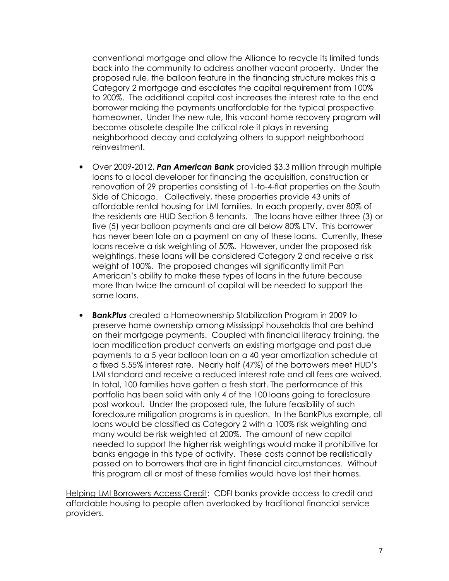conventional mortgage and allow the Alliance to recycle its limited funds back into the community to address another vacant property. Under the proposed rule, the balloon feature in the financing structure makes this a Category 2 mortgage and escalates the capital requirement from 100% to 200%. The additional capital cost increases the interest rate to the end borrower making the payments unaffordable for the typical prospective homeowner. Under the new rule, this vacant home recovery program will become obsolete despite the critical role it plays in reversing neighborhood decay and catalyzing others to support neighborhood reinvestment.

- Over 2009-2012, *Pan American Bank* provided \$3.3 million through multiple loans to a local developer for financing the acquisition, construction or renovation of 29 properties consisting of 1-to-4-flat properties on the South Side of Chicago. Collectively, these properties provide 43 units of affordable rental housing for LMI families. In each property, over 80% of the residents are HUD Section 8 tenants. The loans have either three (3) or five (5) year balloon payments and are all below 80% LTV. This borrower has never been late on a payment on any of these loans. Currently, these loans receive a risk weighting of 50%. However, under the proposed risk weightings, these loans will be considered Category 2 and receive a risk weight of 100%. The proposed changes will significantly limit Pan American's ability to make these types of loans in the future because more than twice the amount of capital will be needed to support the same loans.
- *BankPlus* created a Homeownership Stabilization Program in 2009 to preserve home ownership among Mississippi households that are behind on their mortgage payments. Coupled with financial literacy training, the loan modification product converts an existing mortgage and past due payments to a 5 year balloon loan on a 40 year amortization schedule at a fixed 5.55% interest rate. Nearly half (47%) of the borrowers meet HUD's LMI standard and receive a reduced interest rate and all fees are waived. In total, 100 families have gotten a fresh start. The performance of this portfolio has been solid with only 4 of the 100 loans going to foreclosure post workout. Under the proposed rule, the future feasibility of such foreclosure mitigation programs is in question. In the BankPlus example, all loans would be classified as Category 2 with a 100% risk weighting and many would be risk weighted at 200%. The amount of new capital needed to support the higher risk weightings would make it prohibitive for banks engage in this type of activity. These costs cannot be realistically passed on to borrowers that are in tight financial circumstances. Without this program all or most of these families would have lost their homes.

Helping LMI Borrowers Access Credit: CDFI banks provide access to credit and affordable housing to people often overlooked by traditional financial service providers.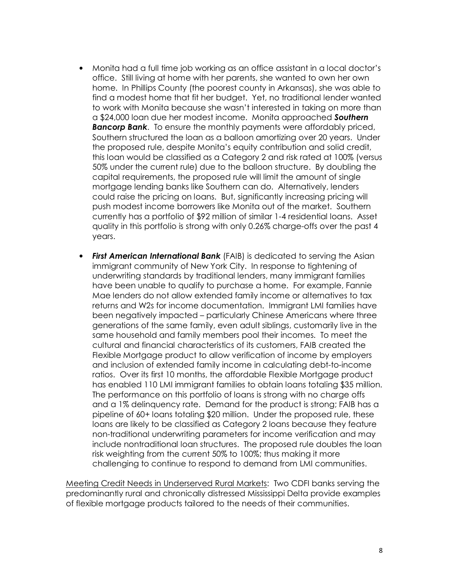- Monita had a full time job working as an office assistant in a local doctor's office. Still living at home with her parents, she wanted to own her own home. In Phillips County (the poorest county in Arkansas), she was able to find a modest home that fit her budget. Yet, no traditional lender wanted to work with Monita because she wasn't interested in taking on more than a \$24,000 loan due her modest income. Monita approached *Southern Bancorp Bank*. To ensure the monthly payments were affordably priced, Southern structured the loan as a balloon amortizing over 20 years. Under the proposed rule, despite Monita's equity contribution and solid credit, this loan would be classified as a Category 2 and risk rated at 100% (versus 50% under the current rule) due to the balloon structure. By doubling the capital requirements, the proposed rule will limit the amount of single mortgage lending banks like Southern can do. Alternatively, lenders could raise the pricing on loans. But, significantly increasing pricing will push modest income borrowers like Monita out of the market. Southern currently has a portfolio of \$92 million of similar 1-4 residential loans. Asset quality in this portfolio is strong with only 0.26% charge-offs over the past 4 years.
- *First American International Bank* (FAIB) is dedicated to serving the Asian immigrant community of New York City. In response to tightening of underwriting standards by traditional lenders, many immigrant families have been unable to qualify to purchase a home. For example, Fannie Mae lenders do not allow extended family income or alternatives to tax returns and W2s for income documentation. Immigrant LMI families have been negatively impacted – particularly Chinese Americans where three generations of the same family, even adult siblings, customarily live in the same household and family members pool their incomes. To meet the cultural and financial characteristics of its customers, FAIB created the Flexible Mortgage product to allow verification of income by employers and inclusion of extended family income in calculating debt-to-income ratios. Over its first 10 months, the affordable Flexible Mortgage product has enabled 110 LMI immigrant families to obtain loans totaling \$35 million. The performance on this portfolio of loans is strong with no charge offs and a 1% delinquency rate. Demand for the product is strong; FAIB has a pipeline of 60+ loans totaling \$20 million. Under the proposed rule, these loans are likely to be classified as Category 2 loans because they feature non-traditional underwriting parameters for income verification and may include nontraditional loan structures. The proposed rule doubles the loan risk weighting from the current 50% to 100%; thus making it more challenging to continue to respond to demand from LMI communities.

Meeting Credit Needs in Underserved Rural Markets: Two CDFI banks serving the predominantly rural and chronically distressed Mississippi Delta provide examples of flexible mortgage products tailored to the needs of their communities.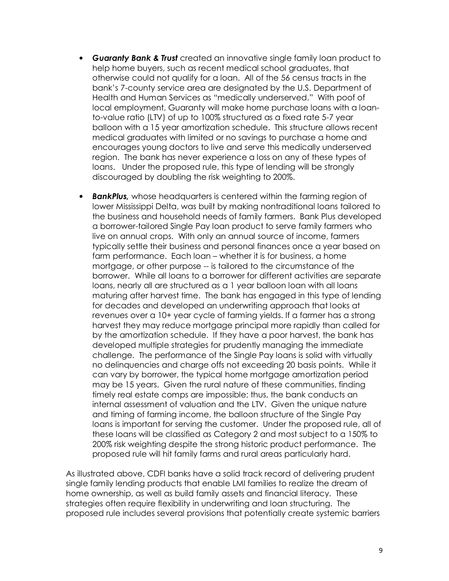- *Guaranty Bank & Trust* created an innovative single family loan product to help home buyers, such as recent medical school graduates, that otherwise could not qualify for a loan. All of the 56 census tracts in the bank's 7-county service area are designated by the U.S. Department of Health and Human Services as "medically underserved." With poof of local employment, Guaranty will make home purchase loans with a loanto-value ratio (LTV) of up to 100% structured as a fixed rate 5-7 year balloon with a 15 year amortization schedule. This structure allows recent medical graduates with limited or no savings to purchase a home and encourages young doctors to live and serve this medically underserved region. The bank has never experience a loss on any of these types of loans. Under the proposed rule, this type of lending will be strongly discouraged by doubling the risk weighting to 200%.
- *BankPlus,* whose headquarters is centered within the farming region of lower Mississippi Delta, was built by making nontraditional loans tailored to the business and household needs of family farmers. Bank Plus developed a borrower-tailored Single Pay loan product to serve family farmers who live on annual crops. With only an annual source of income, farmers typically settle their business and personal finances once a year based on farm performance. Each loan – whether it is for business, a home mortgage, or other purpose -- is tailored to the circumstance of the borrower. While all loans to a borrower for different activities are separate loans, nearly all are structured as a 1 year balloon loan with all loans maturing after harvest time. The bank has engaged in this type of lending for decades and developed an underwriting approach that looks at revenues over a 10+ year cycle of farming yields. If a farmer has a strong harvest they may reduce mortgage principal more rapidly than called for by the amortization schedule. If they have a poor harvest, the bank has developed multiple strategies for prudently managing the immediate challenge. The performance of the Single Pay loans is solid with virtually no delinquencies and charge offs not exceeding 20 basis points. While it can vary by borrower, the typical home mortgage amortization period may be 15 years. Given the rural nature of these communities, finding timely real estate comps are impossible; thus, the bank conducts an internal assessment of valuation and the LTV. Given the unique nature and timing of farming income, the balloon structure of the Single Pay loans is important for serving the customer. Under the proposed rule, all of these loans will be classified as Category 2 and most subject to a 150% to 200% risk weighting despite the strong historic product performance. The proposed rule will hit family farms and rural areas particularly hard.

As illustrated above, CDFI banks have a solid track record of delivering prudent single family lending products that enable LMI families to realize the dream of home ownership, as well as build family assets and financial literacy. These strategies often require flexibility in underwriting and loan structuring. The proposed rule includes several provisions that potentially create systemic barriers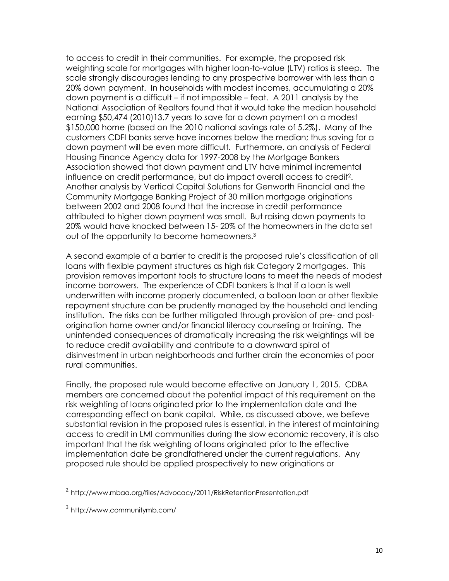to access to credit in their communities. For example, the proposed risk weighting scale for mortgages with higher loan-to-value (LTV) ratios is steep. The scale strongly discourages lending to any prospective borrower with less than a 20% down payment. In households with modest incomes, accumulating a 20% down payment is a difficult – if not impossible – feat. A 2011 analysis by the National Association of Realtors found that it would take the median household earning \$50,474 (2010)13.7 years to save for a down payment on a modest \$150,000 home (based on the 2010 national savings rate of 5.2%). Many of the customers CDFI banks serve have incomes below the median; thus saving for a down payment will be even more difficult. Furthermore, an analysis of Federal Housing Finance Agency data for 1997-2008 by the Mortgage Bankers Association showed that down payment and LTV have minimal incremental influence on credit performance, but do impact overall access to credit<sup>2</sup> . Another analysis by Vertical Capital Solutions for Genworth Financial and the Community Mortgage Banking Project of 30 million mortgage originations between 2002 and 2008 found that the increase in credit performance attributed to higher down payment was small. But raising down payments to 20% would have knocked between 15- 20% of the homeowners in the data set out of the opportunity to become homeowners.<sup>3</sup>

A second example of a barrier to credit is the proposed rule's classification of all loans with flexible payment structures as high risk Category 2 mortgages. This provision removes important tools to structure loans to meet the needs of modest income borrowers. The experience of CDFI bankers is that if a loan is well underwritten with income properly documented, a balloon loan or other flexible repayment structure can be prudently managed by the household and lending institution. The risks can be further mitigated through provision of pre- and postorigination home owner and/or financial literacy counseling or training. The unintended consequences of dramatically increasing the risk weightings will be to reduce credit availability and contribute to a downward spiral of disinvestment in urban neighborhoods and further drain the economies of poor rural communities.

Finally, the proposed rule would become effective on January 1, 2015. CDBA members are concerned about the potential impact of this requirement on the risk weighting of loans originated prior to the implementation date and the corresponding effect on bank capital. While, as discussed above, we believe substantial revision in the proposed rules is essential, in the interest of maintaining access to credit in LMI communities during the slow economic recovery, it is also important that the risk weighting of loans originated prior to the effective implementation date be grandfathered under the current regulations. Any proposed rule should be applied prospectively to new originations or

 $\overline{a}$ 

<sup>&</sup>lt;sup>2</sup> http://www.mbaa.org/files/Advocacy/2011/RiskRetentionPresentation.pdf

<sup>3</sup> http://www.communitymb.com/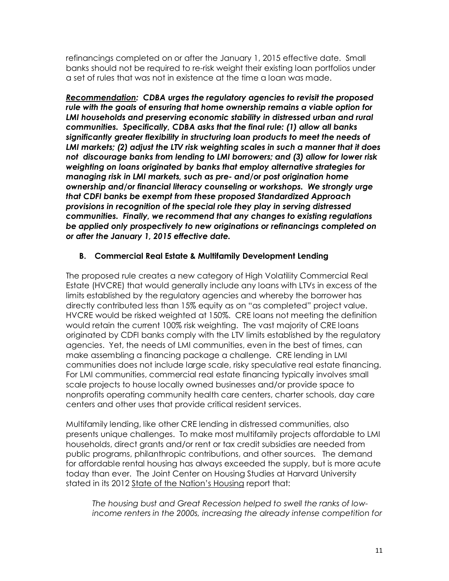refinancings completed on or after the January 1, 2015 effective date. Small banks should not be required to re-risk weight their existing loan portfolios under a set of rules that was not in existence at the time a loan was made.

*Recommendation: CDBA urges the regulatory agencies to revisit the proposed rule with the goals of ensuring that home ownership remains a viable option for*  LMI households and preserving economic stability in distressed urban and rural *communities. Specifically, CDBA asks that the final rule: (1) allow all banks significantly greater flexibility in structuring loan products to meet the needs of LMI markets; (2) adjust the LTV risk weighting scales in such a manner that it does not discourage banks from lending to LMI borrowers; and (3) allow for lower risk weighting on loans originated by banks that employ alternative strategies for managing risk in LMI markets, such as pre- and/or post origination home ownership and/or financial literacy counseling or workshops. We strongly urge that CDFI banks be exempt from these proposed Standardized Approach provisions in recognition of the special role they play in serving distressed communities. Finally, we recommend that any changes to existing regulations be applied only prospectively to new originations or refinancings completed on or after the January 1, 2015 effective date.* 

### **B. Commercial Real Estate & Multifamily Development Lending**

The proposed rule creates a new category of High Volatility Commercial Real Estate (HVCRE) that would generally include any loans with LTVs in excess of the limits established by the regulatory agencies and whereby the borrower has directly contributed less than 15% equity as on "as completed" project value. HVCRE would be risked weighted at 150%. CRE loans not meeting the definition would retain the current 100% risk weighting. The vast majority of CRE loans originated by CDFI banks comply with the LTV limits established by the regulatory agencies. Yet, the needs of LMI communities, even in the best of times, can make assembling a financing package a challenge. CRE lending in LMI communities does not include large scale, risky speculative real estate financing. For LMI communities, commercial real estate financing typically involves small scale projects to house locally owned businesses and/or provide space to nonprofits operating community health care centers, charter schools, day care centers and other uses that provide critical resident services.

Multifamily lending, like other CRE lending in distressed communities, also presents unique challenges. To make most multifamily projects affordable to LMI households, direct grants and/or rent or tax credit subsidies are needed from public programs, philanthropic contributions, and other sources. The demand for affordable rental housing has always exceeded the supply, but is more acute today than ever. The Joint Center on Housing Studies at Harvard University stated in its 2012 State of the Nation's Housing report that:

*The housing bust and Great Recession helped to swell the ranks of lowincome renters in the 2000s, increasing the already intense competition for*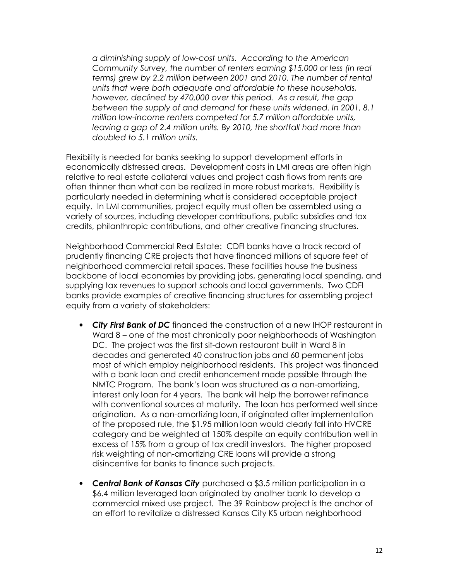*a diminishing supply of low-cost units. According to the American Community Survey, the number of renters earning \$15,000 or less (in real terms) grew by 2.2 million between 2001 and 2010. The number of rental units that were both adequate and affordable to these households, however, declined by 470,000 over this period. As a result, the gap between the supply of and demand for these units widened. In 2001, 8.1 million low-income renters competed for 5.7 million affordable units, leaving a gap of 2.4 million units. By 2010, the shortfall had more than doubled to 5.1 million units.* 

Flexibility is needed for banks seeking to support development efforts in economically distressed areas. Development costs in LMI areas are often high relative to real estate collateral values and project cash flows from rents are often thinner than what can be realized in more robust markets. Flexibility is particularly needed in determining what is considered acceptable project equity. In LMI communities, project equity must often be assembled using a variety of sources, including developer contributions, public subsidies and tax credits, philanthropic contributions, and other creative financing structures.

Neighborhood Commercial Real Estate: CDFI banks have a track record of prudently financing CRE projects that have financed millions of square feet of neighborhood commercial retail spaces. These facilities house the business backbone of local economies by providing jobs, generating local spending, and supplying tax revenues to support schools and local governments. Two CDFI banks provide examples of creative financing structures for assembling project equity from a variety of stakeholders:

- *City First Bank of DC* financed the construction of a new IHOP restaurant in Ward 8 – one of the most chronically poor neighborhoods of Washington DC. The project was the first sit-down restaurant built in Ward 8 in decades and generated 40 construction jobs and 60 permanent jobs most of which employ neighborhood residents. This project was financed with a bank loan and credit enhancement made possible through the NMTC Program. The bank's loan was structured as a non-amortizing, interest only loan for 4 years. The bank will help the borrower refinance with conventional sources at maturity. The loan has performed well since origination. As a non-amortizing loan, if originated after implementation of the proposed rule, the \$1.95 million loan would clearly fall into HVCRE category and be weighted at 150% despite an equity contribution well in excess of 15% from a group of tax credit investors. The higher proposed risk weighting of non-amortizing CRE loans will provide a strong disincentive for banks to finance such projects.
- *Central Bank of Kansas City* purchased a \$3.5 million participation in a \$6.4 million leveraged loan originated by another bank to develop a commercial mixed use project. The 39 Rainbow project is the anchor of an effort to revitalize a distressed Kansas City KS urban neighborhood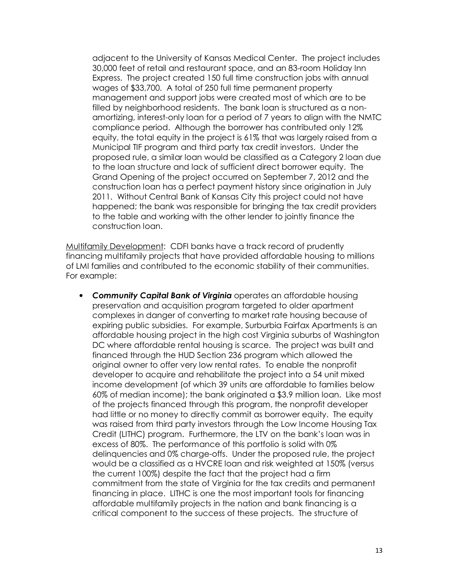adjacent to the University of Kansas Medical Center. The project includes 30,000 feet of retail and restaurant space, and an 83-room Holiday Inn Express. The project created 150 full time construction jobs with annual wages of \$33,700. A total of 250 full time permanent property management and support jobs were created most of which are to be filled by neighborhood residents. The bank loan is structured as a nonamortizing, interest-only loan for a period of 7 years to align with the NMTC compliance period. Although the borrower has contributed only 12% equity, the total equity in the project is 61% that was largely raised from a Municipal TIF program and third party tax credit investors. Under the proposed rule, a similar loan would be classified as a Category 2 loan due to the loan structure and lack of sufficient direct borrower equity. The Grand Opening of the project occurred on September 7, 2012 and the construction loan has a perfect payment history since origination in July 2011. Without Central Bank of Kansas City this project could not have happened; the bank was responsible for bringing the tax credit providers to the table and working with the other lender to jointly finance the construction loan.

Multifamily Development: CDFI banks have a track record of prudently financing multifamily projects that have provided affordable housing to millions of LMI families and contributed to the economic stability of their communities. For example:

• *Community Capital Bank of Virginia* operates an affordable housing preservation and acquisition program targeted to older apartment complexes in danger of converting to market rate housing because of expiring public subsidies. For example, Surburbia Fairfax Apartments is an affordable housing project in the high cost Virginia suburbs of Washington DC where affordable rental housing is scarce. The project was built and financed through the HUD Section 236 program which allowed the original owner to offer very low rental rates. To enable the nonprofit developer to acquire and rehabilitate the project into a 54 unit mixed income development (of which 39 units are affordable to families below 60% of median income); the bank originated a \$3.9 million loan. Like most of the projects financed through this program, the nonprofit developer had little or no money to directly commit as borrower equity. The equity was raised from third party investors through the Low Income Housing Tax Credit (LITHC) program. Furthermore, the LTV on the bank's loan was in excess of 80%. The performance of this portfolio is solid with 0% delinquencies and 0% charge-offs. Under the proposed rule, the project would be a classified as a HVCRE loan and risk weighted at 150% (versus the current 100%) despite the fact that the project had a firm commitment from the state of Virginia for the tax credits and permanent financing in place. LITHC is one the most important tools for financing affordable multifamily projects in the nation and bank financing is a critical component to the success of these projects. The structure of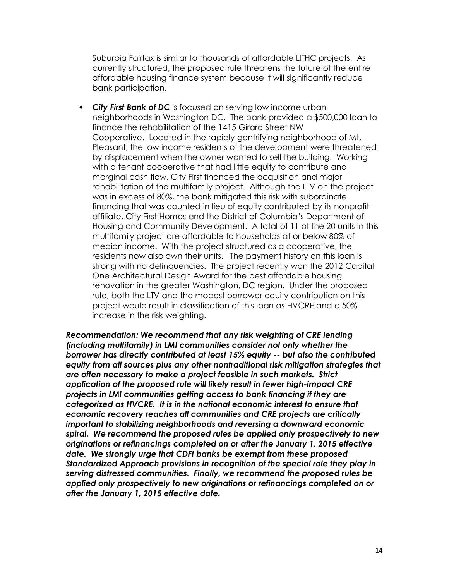Suburbia Fairfax is similar to thousands of affordable LITHC projects. As currently structured, the proposed rule threatens the future of the entire affordable housing finance system because it will significantly reduce bank participation.

• *City First Bank of DC* is focused on serving low income urban neighborhoods in Washington DC. The bank provided a \$500,000 loan to finance the rehabilitation of the 1415 Girard Street NW Cooperative. Located in the rapidly gentrifying neighborhood of Mt. Pleasant, the low income residents of the development were threatened by displacement when the owner wanted to sell the building. Working with a tenant cooperative that had little equity to contribute and marginal cash flow, City First financed the acquisition and major rehabilitation of the multifamily project. Although the LTV on the project was in excess of 80%, the bank mitigated this risk with subordinate financing that was counted in lieu of equity contributed by its nonprofit affiliate, City First Homes and the District of Columbia's Department of Housing and Community Development. A total of 11 of the 20 units in this multifamily project are affordable to households at or below 80% of median income. With the project structured as a cooperative, the residents now also own their units. The payment history on this loan is strong with no delinquencies. The project recently won the 2012 Capital One Architectural Design Award for the best affordable housing renovation in the greater Washington, DC region. Under the proposed rule, both the LTV and the modest borrower equity contribution on this project would result in classification of this loan as HVCRE and a 50% increase in the risk weighting.

*Recommendation: We recommend that any risk weighting of CRE lending (including multifamily) in LMI communities consider not only whether the borrower has directly contributed at least 15% equity -- but also the contributed equity from all sources plus any other nontraditional risk mitigation strategies that are often necessary to make a project feasible in such markets. Strict application of the proposed rule will likely result in fewer high-impact CRE projects in LMI communities getting access to bank financing if they are categorized as HVCRE. It is in the national economic interest to ensure that economic recovery reaches all communities and CRE projects are critically important to stabilizing neighborhoods and reversing a downward economic spiral. We recommend the proposed rules be applied only prospectively to new originations or refinancings completed on or after the January 1, 2015 effective date. We strongly urge that CDFI banks be exempt from these proposed Standardized Approach provisions in recognition of the special role they play in serving distressed communities. Finally, we recommend the proposed rules be applied only prospectively to new originations or refinancings completed on or after the January 1, 2015 effective date.*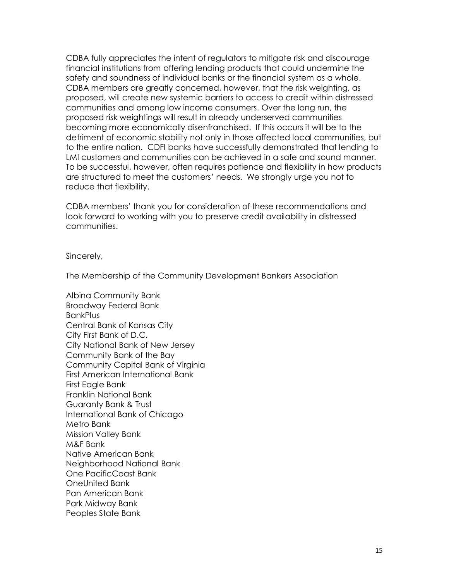CDBA fully appreciates the intent of regulators to mitigate risk and discourage financial institutions from offering lending products that could undermine the safety and soundness of individual banks or the financial system as a whole. CDBA members are greatly concerned, however, that the risk weighting, as proposed, will create new systemic barriers to access to credit within distressed communities and among low income consumers. Over the long run, the proposed risk weightings will result in already underserved communities becoming more economically disenfranchised. If this occurs it will be to the detriment of economic stability not only in those affected local communities, but to the entire nation. CDFI banks have successfully demonstrated that lending to LMI customers and communities can be achieved in a safe and sound manner. To be successful, however, often requires patience and flexibility in how products are structured to meet the customers' needs. We strongly urge you not to reduce that flexibility.

CDBA members' thank you for consideration of these recommendations and look forward to working with you to preserve credit availability in distressed communities.

Sincerely,

The Membership of the Community Development Bankers Association

Albina Community Bank Broadway Federal Bank **BankPlus** Central Bank of Kansas City City First Bank of D.C. City National Bank of New Jersey Community Bank of the Bay Community Capital Bank of Virginia First American International Bank First Eagle Bank Franklin National Bank Guaranty Bank & Trust International Bank of Chicago Metro Bank Mission Valley Bank M&F Bank Native American Bank Neighborhood National Bank One PacificCoast Bank OneUnited Bank Pan American Bank Park Midway Bank Peoples State Bank